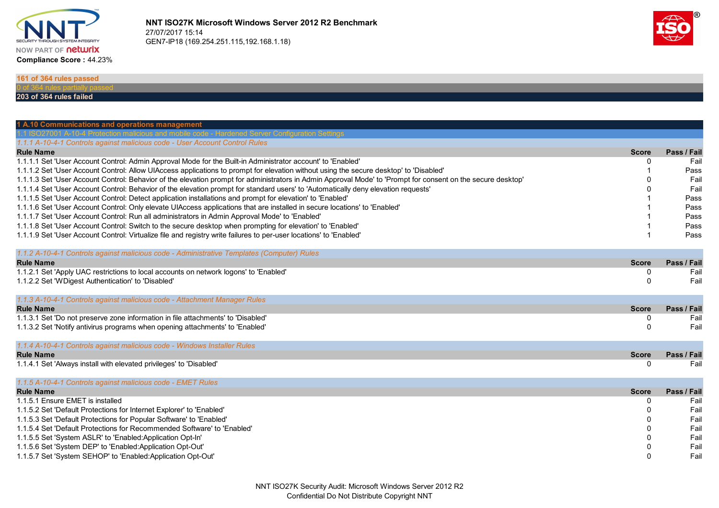



0 Fail

## **161 of 364 rules passed**

## **203 of 364 rules failed**

| 1 A.10 Communications and operations management<br>us and mobile code - Hardened Server Configuration Settings                                               |              |             |
|--------------------------------------------------------------------------------------------------------------------------------------------------------------|--------------|-------------|
| 1.1.1 A-10-4-1 Controls against malicious code - User Account Control Rules                                                                                  |              |             |
| <b>Rule Name</b>                                                                                                                                             | <b>Score</b> | Pass / Fail |
| 1.1.1.1 Set 'User Account Control: Admin Approval Mode for the Built-in Administrator account' to 'Enabled'                                                  | O            | Fail        |
| 1.1.1.2 Set 'User Account Control: Allow UIAccess applications to prompt for elevation without using the secure desktop' to 'Disabled'                       |              | Pass        |
| 1.1.1.3 Set 'User Account Control: Behavior of the elevation prompt for administrators in Admin Approval Mode' to 'Prompt for consent on the secure desktop' |              | Fail        |
| 1.1.1.4 Set 'User Account Control: Behavior of the elevation prompt for standard users' to 'Automatically deny elevation requests'                           |              | Fail        |
| 1.1.1.5 Set 'User Account Control: Detect application installations and prompt for elevation' to 'Enabled'                                                   |              | Pass        |
| 1.1.1.6 Set 'User Account Control: Only elevate UIAccess applications that are installed in secure locations' to 'Enabled'                                   |              | Pass        |
| 1.1.1.7 Set 'User Account Control: Run all administrators in Admin Approval Mode' to 'Enabled'                                                               |              | Pass        |
| 1.1.1.8 Set 'User Account Control: Switch to the secure desktop when prompting for elevation' to 'Enabled'                                                   |              | Pass        |
| 1.1.1.9 Set 'User Account Control: Virtualize file and registry write failures to per-user locations' to 'Enabled'                                           |              | Pass        |
|                                                                                                                                                              |              |             |
| 1.1.2 A-10-4-1 Controls against malicious code - Administrative Templates (Computer) Rules                                                                   |              |             |
| <b>Rule Name</b>                                                                                                                                             | <b>Score</b> | Pass / Fail |
| 1.1.2.1 Set 'Apply UAC restrictions to local accounts on network logons' to 'Enabled'                                                                        | 0            | Fail        |
| 1.1.2.2 Set 'WDigest Authentication' to 'Disabled'                                                                                                           | $\Omega$     | Fail        |
|                                                                                                                                                              |              |             |
| 1.1.3 A-10-4-1 Controls against malicious code - Attachment Manager Rules                                                                                    |              |             |
| <b>Rule Name</b>                                                                                                                                             | <b>Score</b> | Pass / Fail |
| 1.1.3.1 Set 'Do not preserve zone information in file attachments' to 'Disabled'                                                                             | 0            | Fail        |
| 1.1.3.2 Set 'Notify antivirus programs when opening attachments' to 'Enabled'                                                                                | $\Omega$     | Fail        |
|                                                                                                                                                              |              |             |
| 1.1.4 A-10-4-1 Controls against malicious code - Windows Installer Rules                                                                                     |              |             |
| <b>Rule Name</b>                                                                                                                                             | <b>Score</b> | Pass / Fail |
| 1.1.4.1 Set 'Always install with elevated privileges' to 'Disabled'                                                                                          | 0            | Fail        |
|                                                                                                                                                              |              |             |
| 1.1.5 A-10-4-1 Controls against malicious code - EMET Rules                                                                                                  |              |             |
| <b>Rule Name</b>                                                                                                                                             | <b>Score</b> | Pass / Fail |
| 1.1.5.1 Ensure EMET is installed                                                                                                                             | 0            | Fail        |
| 1.1.5.2 Set 'Default Protections for Internet Explorer' to 'Enabled'                                                                                         | 0            | Fail        |
| 1.1.5.3 Set 'Default Protections for Popular Software' to 'Enabled'                                                                                          |              | Fail        |
| 1.1.5.4 Set 'Default Protections for Recommended Software' to 'Enabled'                                                                                      |              | Fail        |
| 1.1.5.5 Set 'System ASLR' to 'Enabled:Application Opt-In'                                                                                                    |              | Fail        |
| 1.1.5.6 Set 'System DEP' to 'Enabled:Application Opt-Out'                                                                                                    |              | Fail        |

1.1.5.7 Set 'System SEHOP' to 'Enabled:Application Opt-Out'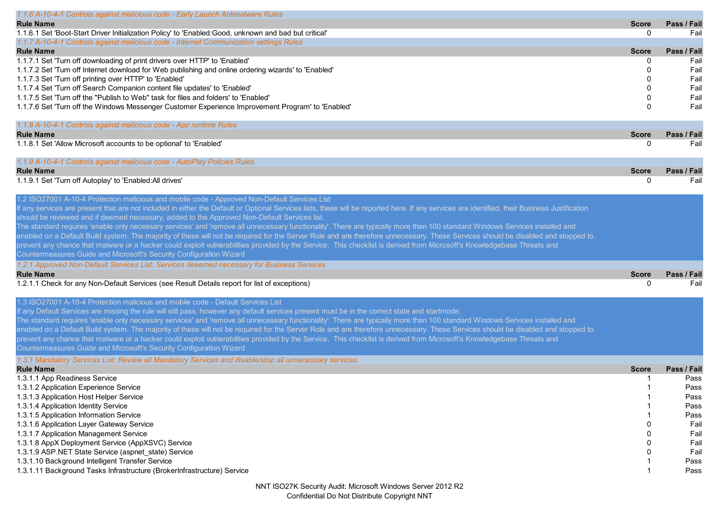| 1.1.6 A-10-4-1 Controls against malicious code - Early Launch Antimalware Rules                                                                                                               |                   |             |
|-----------------------------------------------------------------------------------------------------------------------------------------------------------------------------------------------|-------------------|-------------|
| <b>Rule Name</b>                                                                                                                                                                              | <b>Score</b>      | Pass / Fail |
| 1.1.6.1 Set 'Boot-Start Driver Initialization Policy' to 'Enabled:Good, unknown and bad but critical'                                                                                         | $\mathbf{0}$      | Fail        |
| 1.1.7 A-10-4-1 Controls against malicious code - Internet Communication settings Rules                                                                                                        |                   |             |
| <b>Rule Name</b>                                                                                                                                                                              | <b>Score</b>      | Pass / Fail |
| 1.1.7.1 Set 'Turn off downloading of print drivers over HTTP' to 'Enabled'                                                                                                                    | 0                 | Fail        |
| 1.1.7.2 Set 'Turn off Internet download for Web publishing and online ordering wizards' to 'Enabled'                                                                                          | $\Omega$          | Fail        |
| 1.1.7.3 Set 'Turn off printing over HTTP' to 'Enabled'                                                                                                                                        | 0                 | Fail        |
| 1.1.7.4 Set 'Turn off Search Companion content file updates' to 'Enabled'                                                                                                                     | O                 | Fail        |
| 1.1.7.5 Set 'Turn off the "Publish to Web" task for files and folders' to 'Enabled'                                                                                                           | 0                 | Fail        |
| 1.1.7.6 Set 'Turn off the Windows Messenger Customer Experience Improvement Program' to 'Enabled'                                                                                             | $\Omega$          | Fail        |
|                                                                                                                                                                                               |                   |             |
| 1.1.8 A-10-4-1 Controls against malicious code - App runtime Rules                                                                                                                            |                   |             |
| <b>Rule Name</b>                                                                                                                                                                              | <b>Score</b>      | Pass / Fail |
| 1.1.8.1 Set 'Allow Microsoft accounts to be optional' to 'Enabled'                                                                                                                            | $\Omega$          | Fail        |
|                                                                                                                                                                                               |                   |             |
| 1.1.9 A-10-4-1 Controls against malicious code - AutoPlay Policies Rules                                                                                                                      |                   |             |
| <b>Rule Name</b><br>1.1.9.1 Set 'Turn off Autoplay' to 'Enabled: All drives'                                                                                                                  | <b>Score</b><br>0 | Pass / Fail |
|                                                                                                                                                                                               |                   | Fail        |
| 1.2 ISO27001 A-10-4 Protection malicious and mobile code - Approved Non-Default Services List                                                                                                 |                   |             |
| If any services are present that are not included in either the Default or Optional Services lists, these will be reported here. If any services are identified, their Business Justification |                   |             |
| should be reviewed and if deemed necessary, added to the Approved Non-Default Services list.                                                                                                  |                   |             |
| The standard requires 'enable only necessary services' and 'remove all unnecessary functionality'. There are typically more than 100 standard Windows Services installed and                  |                   |             |
| enabled on a Default Build system. The majority of these will not be required for the Server Role and are therefore unnecessary. These Services should be disabled and stopped to             |                   |             |
| prevent any chance that malware or a hacker could exploit vulnerabilities provided by the Service. This checklist is derived from Microsoft's Knowledgebase Threats and                       |                   |             |
| Countermeasures Guide and Microsoft's Security Configuration Wizard                                                                                                                           |                   |             |
| 1.2.1 Approved Non-Default Services List: Services deeemed necessary for Business Services                                                                                                    |                   |             |
| <b>Rule Name</b>                                                                                                                                                                              | <b>Score</b>      | Pass / Fail |
| 1.2.1.1 Check for any Non-Default Services (see Result Details report for list of exceptions)                                                                                                 | $\mathbf{0}$      | Fail        |
|                                                                                                                                                                                               |                   |             |
| 1.3 ISO27001 A-10-4 Protection malicious and mobile code - Default Services List                                                                                                              |                   |             |
| If any Default Services are missing the rule will still pass, however any default services present must be in the correct state and startmode.                                                |                   |             |
| The standard requires 'enable only necessary services' and 'remove all unnecessary functionality'. There are typically more than 100 standard Windows Services installed and                  |                   |             |
| enabled on a Default Build system. The majority of these will not be required for the Server Role and are therefore unnecessary. These Services should be disabled and stopped to             |                   |             |
| prevent any chance that malware or a hacker could exploit vulnerabilities provided by the Service. This checklist is derived from Microsoft's Knowledgebase Threats and                       |                   |             |
| Countermeasures Guide and Microsoft's Security Configuration Wizard                                                                                                                           |                   |             |
| 1.3.1 Mandatory Services List: Review all Mandatory Services and disable/stop all unnecessary services.                                                                                       |                   |             |
| <b>Rule Name</b>                                                                                                                                                                              | <b>Score</b>      | Pass / Fail |
| 1.3.1.1 App Readiness Service                                                                                                                                                                 |                   | Pass        |
| 1.3.1.2 Application Experience Service                                                                                                                                                        |                   | Pass        |
| 1.3.1.3 Application Host Helper Service                                                                                                                                                       |                   | Pass        |
| 1.3.1.4 Application Identity Service                                                                                                                                                          |                   | Pass        |
| 1.3.1.5 Application Information Service                                                                                                                                                       |                   | Pass        |
| 1.3.1.6 Application Layer Gateway Service                                                                                                                                                     |                   | Fail        |
| 1.3.1.7 Application Management Service                                                                                                                                                        |                   | Fail        |
| 1.3.1.8 AppX Deployment Service (AppXSVC) Service                                                                                                                                             |                   | Fail        |
| 1.3.1.9 ASP.NET State Service (aspnet_state) Service                                                                                                                                          |                   | Fail        |
| 1.3.1.10 Background Intelligent Transfer Service                                                                                                                                              |                   | Pass        |
| 1.3.1.11 Background Tasks Infrastructure (BrokerInfrastructure) Service                                                                                                                       | -1                | Pass        |
|                                                                                                                                                                                               |                   |             |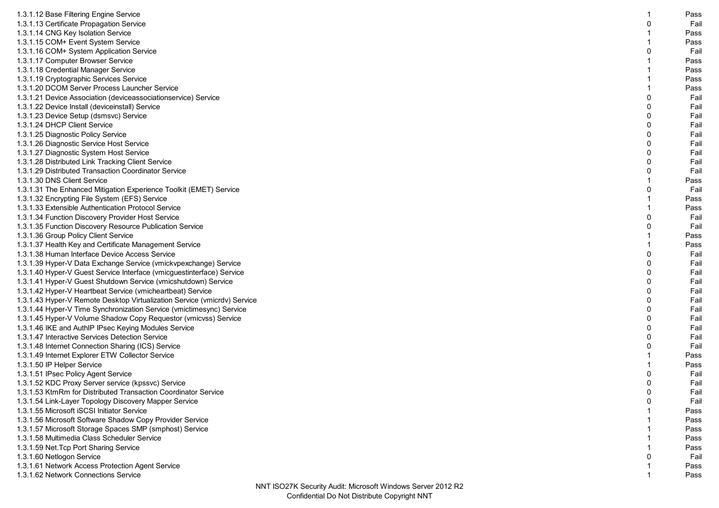| 1.3.1.12 Base Filtering Engine Service                                                               |              | Pass |
|------------------------------------------------------------------------------------------------------|--------------|------|
| 1.3.1.13 Certificate Propagation Service                                                             | 0            | Fail |
| 1.3.1.14 CNG Key Isolation Service                                                                   | -1           | Pass |
| 1.3.1.15 COM+ Event System Service                                                                   |              | Pass |
| 1.3.1.16 COM+ System Application Service                                                             | $\Omega$     | Fail |
| 1.3.1.17 Computer Browser Service                                                                    |              | Pass |
| 1.3.1.18 Credential Manager Service                                                                  |              | Pass |
| 1.3.1.19 Cryptographic Services Service                                                              |              | Pass |
| 1.3.1.20 DCOM Server Process Launcher Service                                                        |              | Pass |
| 1.3.1.21 Device Association (deviceassociationservice) Service                                       | $\Omega$     | Fail |
| 1.3.1.22 Device Install (deviceinstall) Service                                                      | $\Omega$     | Fail |
| 1.3.1.23 Device Setup (dsmsvc) Service                                                               | $\mathbf{0}$ | Fail |
| 1.3.1.24 DHCP Client Service                                                                         | 0            | Fail |
| 1.3.1.25 Diagnostic Policy Service                                                                   | $\Omega$     | Fail |
| 1.3.1.26 Diagnostic Service Host Service                                                             | $\Omega$     | Fail |
| 1.3.1.27 Diagnostic System Host Service                                                              | $\Omega$     | Fail |
| 1.3.1.28 Distributed Link Tracking Client Service                                                    | $\mathbf{0}$ | Fail |
| 1.3.1.29 Distributed Transaction Coordinator Service                                                 | 0            | Fail |
| 1.3.1.30 DNS Client Service                                                                          |              | Pass |
| 1.3.1.31 The Enhanced Mitigation Experience Toolkit (EMET) Service                                   | $\Omega$     | Fail |
|                                                                                                      |              | Pass |
| 1.3.1.32 Encrypting File System (EFS) Service<br>1.3.1.33 Extensible Authentication Protocol Service |              | Pass |
|                                                                                                      | 0            | Fail |
| 1.3.1.34 Function Discovery Provider Host Service                                                    | $\Omega$     | Fail |
| 1.3.1.35 Function Discovery Resource Publication Service                                             |              | Pass |
| 1.3.1.36 Group Policy Client Service                                                                 |              |      |
| 1.3.1.37 Health Key and Certificate Management Service                                               | $\Omega$     | Pass |
| 1.3.1.38 Human Interface Device Access Service                                                       |              | Fail |
| 1.3.1.39 Hyper-V Data Exchange Service (vmickvpexchange) Service                                     | 0            | Fail |
| 1.3.1.40 Hyper-V Guest Service Interface (vmicguestinterface) Service                                | $\mathbf 0$  | Fail |
| 1.3.1.41 Hyper-V Guest Shutdown Service (vmicshutdown) Service                                       | $\Omega$     | Fail |
| 1.3.1.42 Hyper-V Heartbeat Service (vmicheartbeat) Service                                           | $\Omega$     | Fail |
| 1.3.1.43 Hyper-V Remote Desktop Virtualization Service (vmicrdv) Service                             | $\mathbf{0}$ | Fail |
| 1.3.1.44 Hyper-V Time Synchronization Service (vmictimesync) Service                                 | 0            | Fail |
| 1.3.1.45 Hyper-V Volume Shadow Copy Requestor (vmicvss) Service                                      | $\mathbf 0$  | Fail |
| 1.3.1.46 IKE and AuthIP IPsec Keying Modules Service                                                 | $\Omega$     | Fail |
| 1.3.1.47 Interactive Services Detection Service                                                      | $\Omega$     | Fail |
| 1.3.1.48 Internet Connection Sharing (ICS) Service                                                   | $\mathbf{0}$ | Fail |
| 1.3.1.49 Internet Explorer ETW Collector Service                                                     |              | Pass |
| 1.3.1.50 IP Helper Service                                                                           |              | Pass |
| 1.3.1.51 IPsec Policy Agent Service                                                                  | $\mathbf 0$  | Fail |
| 1.3.1.52 KDC Proxy Server service (kpssvc) Service                                                   | $\Omega$     | Fail |
| 1.3.1.53 KtmRm for Distributed Transaction Coordinator Service                                       |              | Fail |
| 1.3.1.54 Link-Layer Topology Discovery Mapper Service                                                | 0            | Fail |
| 1.3.1.55 Microsoft iSCSI Initiator Service                                                           |              | Pass |
| 1.3.1.56 Microsoft Software Shadow Copy Provider Service                                             |              | Pass |
| 1.3.1.57 Microsoft Storage Spaces SMP (smphost) Service                                              |              | Pass |
| 1.3.1.58 Multimedia Class Scheduler Service                                                          |              | Pass |
| 1.3.1.59 Net. Tcp Port Sharing Service                                                               |              | Pass |
| 1.3.1.60 Netlogon Service                                                                            |              | Fail |
| 1.3.1.61 Network Access Protection Agent Service                                                     |              | Pass |
| 1.3.1.62 Network Connections Service                                                                 |              | Pass |
|                                                                                                      |              |      |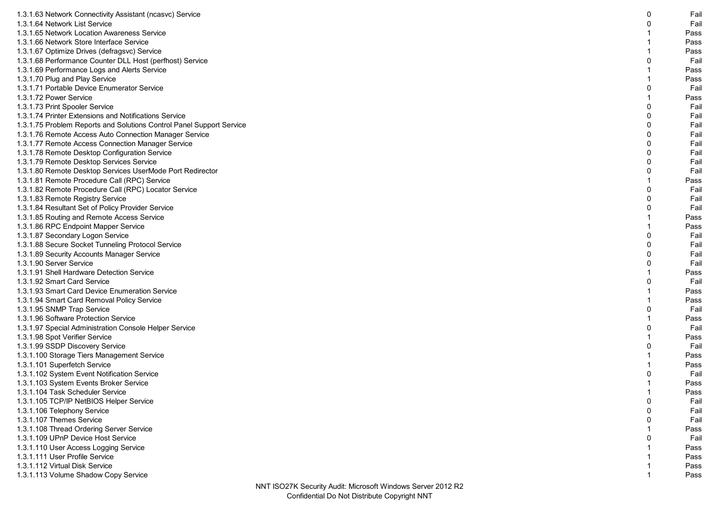| 1.3.1.63 Network Connectivity Assistant (ncasvc) Service             | 0 | Fail |
|----------------------------------------------------------------------|---|------|
| 1.3.1.64 Network List Service                                        | 0 | Fail |
| 1.3.1.65 Network Location Awareness Service                          |   | Pass |
| 1.3.1.66 Network Store Interface Service                             |   | Pass |
| 1.3.1.67 Optimize Drives (defragsvc) Service                         |   | Pass |
|                                                                      | n | Fail |
| 1.3.1.68 Performance Counter DLL Host (perfhost) Service             |   |      |
| 1.3.1.69 Performance Logs and Alerts Service                         |   | Pass |
| 1.3.1.70 Plug and Play Service                                       |   | Pass |
| 1.3.1.71 Portable Device Enumerator Service                          | 0 | Fail |
| 1.3.1.72 Power Service                                               |   | Pass |
| 1.3.1.73 Print Spooler Service                                       | O | Fail |
| 1.3.1.74 Printer Extensions and Notifications Service                | 0 | Fail |
| 1.3.1.75 Problem Reports and Solutions Control Panel Support Service | 0 | Fail |
| 1.3.1.76 Remote Access Auto Connection Manager Service               | 0 | Fail |
| 1.3.1.77 Remote Access Connection Manager Service                    | 0 | Fail |
| 1.3.1.78 Remote Desktop Configuration Service                        | 0 | Fail |
| 1.3.1.79 Remote Desktop Services Service                             | n | Fail |
| 1.3.1.80 Remote Desktop Services UserMode Port Redirector            | 0 | Fail |
| 1.3.1.81 Remote Procedure Call (RPC) Service                         |   | Pass |
| 1.3.1.82 Remote Procedure Call (RPC) Locator Service                 |   | Fail |
| 1.3.1.83 Remote Registry Service                                     | O | Fail |
| 1.3.1.84 Resultant Set of Policy Provider Service                    | 0 | Fail |
| 1.3.1.85 Routing and Remote Access Service                           |   | Pass |
| 1.3.1.86 RPC Endpoint Mapper Service                                 |   | Pass |
| 1.3.1.87 Secondary Logon Service                                     |   | Fail |
| 1.3.1.88 Secure Socket Tunneling Protocol Service                    | O | Fail |
| 1.3.1.89 Security Accounts Manager Service                           | n | Fail |
| 1.3.1.90 Server Service                                              | 0 | Fail |
| 1.3.1.91 Shell Hardware Detection Service                            |   | Pass |
| 1.3.1.92 Smart Card Service                                          |   | Fail |
| 1.3.1.93 Smart Card Device Enumeration Service                       |   | Pass |
| 1.3.1.94 Smart Card Removal Policy Service                           |   | Pass |
| 1.3.1.95 SNMP Trap Service                                           |   | Fail |
| 1.3.1.96 Software Protection Service                                 |   | Pass |
| 1.3.1.97 Special Administration Console Helper Service               |   | Fail |
| 1.3.1.98 Spot Verifier Service                                       |   | Pass |
| 1.3.1.99 SSDP Discovery Service                                      |   | Fail |
| 1.3.1.100 Storage Tiers Management Service                           |   | Pass |
| 1.3.1.101 Superfetch Service                                         |   | Pass |
| 1.3.1.102 System Event Notification Service                          |   | Fail |
| 1.3.1.103 System Events Broker Service                               |   | Pass |
| 1.3.1.104 Task Scheduler Service                                     |   | Pass |
| 1.3.1.105 TCP/IP NetBIOS Helper Service                              | 0 | Fail |
| 1.3.1.106 Telephony Service                                          | 0 | Fail |
| 1.3.1.107 Themes Service                                             |   | Fail |
| 1.3.1.108 Thread Ordering Server Service                             |   | Pass |
| 1.3.1.109 UPnP Device Host Service                                   |   | Fail |
| 1.3.1.110 User Access Logging Service                                |   | Pass |
| 1.3.1.111 User Profile Service                                       |   | Pass |
| 1.3.1.112 Virtual Disk Service                                       |   | Pass |
| 1.3.1.113 Volume Shadow Copy Service                                 |   | Pass |
|                                                                      |   |      |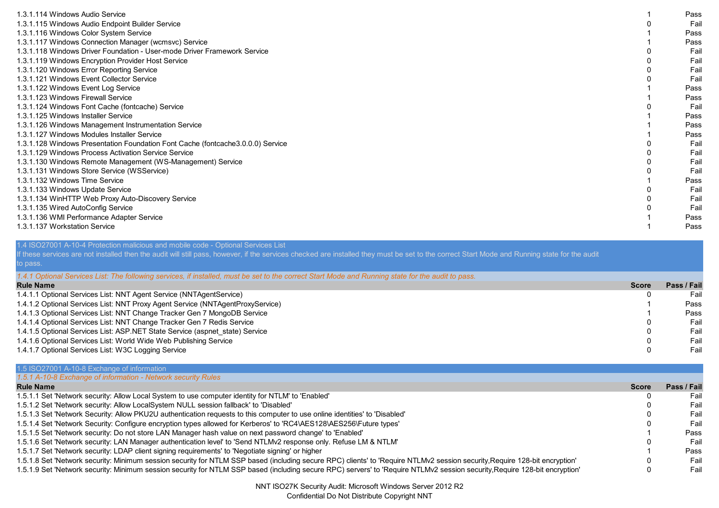| 1.3.1.114 Windows Audio Service                                                  | Pass |
|----------------------------------------------------------------------------------|------|
| 1.3.1.115 Windows Audio Endpoint Builder Service                                 | Fail |
| 1.3.1.116 Windows Color System Service                                           | Pass |
| 1.3.1.117 Windows Connection Manager (wcmsvc) Service                            | Pass |
| 1.3.1.118 Windows Driver Foundation - User-mode Driver Framework Service         | Fail |
| 1.3.1.119 Windows Encryption Provider Host Service                               | Fail |
| 1.3.1.120 Windows Error Reporting Service                                        | Fail |
| 1.3.1.121 Windows Event Collector Service                                        | Fail |
| 1.3.1.122 Windows Event Log Service                                              | Pass |
| 1.3.1.123 Windows Firewall Service                                               | Pass |
| 1.3.1.124 Windows Font Cache (fontcache) Service                                 | Fail |
| 1.3.1.125 Windows Installer Service                                              | Pass |
| 1.3.1.126 Windows Management Instrumentation Service                             | Pass |
| 1.3.1.127 Windows Modules Installer Service                                      | Pass |
| 1.3.1.128 Windows Presentation Foundation Font Cache (fontcache 3.0.0.0) Service | Fail |
| 1.3.1.129 Windows Process Activation Service Service                             | Fail |
| 1.3.1.130 Windows Remote Management (WS-Management) Service                      | Fail |
| 1.3.1.131 Windows Store Service (WSService)                                      | Fail |
| 1.3.1.132 Windows Time Service                                                   | Pass |
| 1.3.1.133 Windows Update Service                                                 | Fail |
| 1.3.1.134 WinHTTP Web Proxy Auto-Discovery Service                               | Fail |
| 1.3.1.135 Wired AutoConfig Service                                               | Fail |
| 1.3.1.136 WMI Performance Adapter Service                                        | Pass |
| 1.3.1.137 Workstation Service                                                    | Pass |

## 1.4 ISO27001 A-10-4 Protection malicious and mobile code - Optional Services List

If these services are not installed then the audit will still pass, however, if the services checked are installed they must be set to the correct Start Mode and Running state for the audit to pass.

| 1.4.1 Optional Services List: The following services, if installed, must be set to the correct Start Mode and Running state for the audit to pass. |              |             |
|----------------------------------------------------------------------------------------------------------------------------------------------------|--------------|-------------|
| <b>Rule Name</b>                                                                                                                                   | <b>Score</b> | Pass / Fail |
| 1.4.1.1 Optional Services List: NNT Agent Service (NNTAgentService)                                                                                |              | Fail        |
| 1.4.1.2 Optional Services List: NNT Proxy Agent Service (NNTAgentProxyService)                                                                     |              | Pass        |
| 1.4.1.3 Optional Services List: NNT Change Tracker Gen 7 MongoDB Service                                                                           |              | Pass        |
| 1.4.1.4 Optional Services List: NNT Change Tracker Gen 7 Redis Service                                                                             |              | Fail        |
| 1.4.1.5 Optional Services List: ASP.NET State Service (aspnet state) Service                                                                       |              | Fail        |
| 1.4.1.6 Optional Services List: World Wide Web Publishing Service                                                                                  |              | Fail        |
| 1.4.1.7 Optional Services List: W3C Logging Service                                                                                                |              | Fail        |

| 1.5 ISO27001 A-10-8 Exchange of information                                                                                                                                 |              |             |
|-----------------------------------------------------------------------------------------------------------------------------------------------------------------------------|--------------|-------------|
| 1.5.1 A-10-8 Exchange of information - Network security Rules                                                                                                               |              |             |
| <b>Rule Name</b>                                                                                                                                                            | <b>Score</b> | Pass / Fail |
| 1.5.1.1 Set 'Network security: Allow Local System to use computer identity for NTLM' to 'Enabled'                                                                           |              | Fail        |
| 1.5.1.2 Set 'Network security: Allow LocalSystem NULL session fallback' to 'Disabled'                                                                                       |              | Fail        |
| 1.5.1.3 Set 'Network Security: Allow PKU2U authentication requests to this computer to use online identities' to 'Disabled'                                                 |              | Fail        |
| 1.5.1.4 Set 'Network Security: Configure encryption types allowed for Kerberos' to 'RC4\AES128\AES256\Future types'                                                         |              | Fail        |
| 1.5.1.5 Set 'Network security: Do not store LAN Manager hash value on next password change' to 'Enabled'                                                                    |              | Pass        |
| 1.5.1.6 Set 'Network security: LAN Manager authentication level' to 'Send NTLMv2 response only. Refuse LM & NTLM'                                                           |              | Fail        |
| 1.5.1.7 Set 'Network security: LDAP client signing requirements' to 'Negotiate signing' or higher                                                                           |              | Pass        |
| 1.5.1.8 Set 'Network security: Minimum session security for NTLM SSP based (including secure RPC) clients' to 'Require NTLMv2 session security Require 128-bit encryption'  |              | Fail        |
| 1.5.1.9 Set 'Network security: Minimum session security for NTLM SSP based (including secure RPC) servers' to 'Require NTLMv2 session security, Require 128-bit encryption' |              | Fail        |

NNT ISO27K Security Audit: Microsoft Windows Server 2012 R2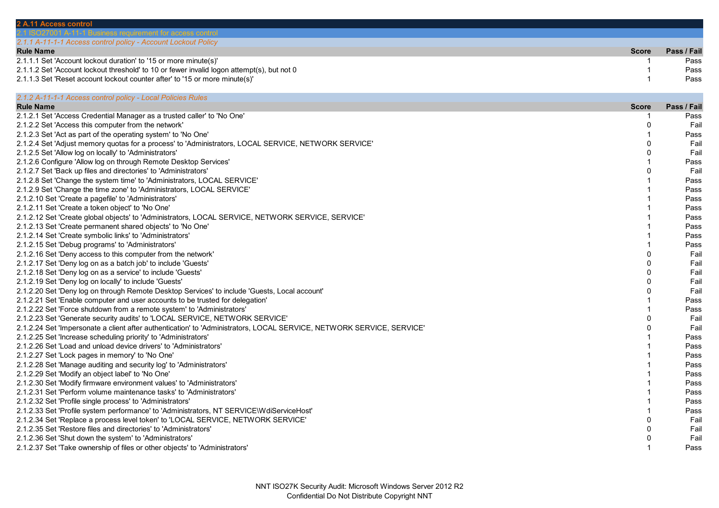| 2 A.11 Access control                                                                                                                                   |                      |              |
|---------------------------------------------------------------------------------------------------------------------------------------------------------|----------------------|--------------|
| 001 A-11-1 Business requirement for access control                                                                                                      |                      |              |
| 2.1.1 A-11-1-1 Access control policy - Account Lockout Policy                                                                                           |                      |              |
| <b>Rule Name</b>                                                                                                                                        | <b>Score</b>         | Pass / Fail  |
| 2.1.1.1 Set 'Account lockout duration' to '15 or more minute(s)'                                                                                        | -1                   | Pass         |
| 2.1.1.2 Set 'Account lockout threshold' to 10 or fewer invalid logon attempt(s), but not 0                                                              | $\overline{1}$       | Pass         |
| 2.1.1.3 Set 'Reset account lockout counter after' to '15 or more minute(s)'                                                                             | $\overline{1}$       | Pass         |
| 2.1.2 A-11-1-1 Access control policy - Local Policies Rules                                                                                             |                      |              |
| <b>Rule Name</b>                                                                                                                                        | <b>Score</b>         | Pass / Fail  |
| 2.1.2.1 Set 'Access Credential Manager as a trusted caller' to 'No One'                                                                                 | $\overline{1}$       | Pass         |
| 2.1.2.2 Set 'Access this computer from the network'                                                                                                     | $\Omega$             | Fail         |
| 2.1.2.3 Set 'Act as part of the operating system' to 'No One'                                                                                           | 1                    | Pass         |
| 2.1.2.4 Set 'Adjust memory quotas for a process' to 'Administrators, LOCAL SERVICE, NETWORK SERVICE'                                                    | $\Omega$             | Fail         |
| 2.1.2.5 Set 'Allow log on locally' to 'Administrators'                                                                                                  | $\Omega$             | Fail         |
| 2.1.2.6 Configure 'Allow log on through Remote Desktop Services'                                                                                        |                      | Pass         |
| 2.1.2.7 Set 'Back up files and directories' to 'Administrators'                                                                                         | $\Omega$             | Fail         |
| 2.1.2.8 Set 'Change the system time' to 'Administrators, LOCAL SERVICE'                                                                                 |                      | Pass         |
| 2.1.2.9 Set 'Change the time zone' to 'Administrators, LOCAL SERVICE'                                                                                   |                      | Pass         |
| 2.1.2.10 Set 'Create a pagefile' to 'Administrators'                                                                                                    |                      | Pass         |
| 2.1.2.11 Set 'Create a token object' to 'No One'                                                                                                        |                      | Pass         |
| 2.1.2.12 Set 'Create global objects' to 'Administrators, LOCAL SERVICE, NETWORK SERVICE, SERVICE'                                                       |                      | Pass         |
| 2.1.2.13 Set 'Create permanent shared objects' to 'No One'                                                                                              |                      | Pass         |
| 2.1.2.14 Set 'Create symbolic links' to 'Administrators'                                                                                                |                      | Pass         |
| 2.1.2.15 Set 'Debug programs' to 'Administrators'                                                                                                       |                      | Pass         |
| 2.1.2.16 Set 'Deny access to this computer from the network'                                                                                            | $\Omega$             | Fail         |
| 2.1.2.17 Set 'Deny log on as a batch job' to include 'Guests'                                                                                           | $\Omega$             | Fail         |
|                                                                                                                                                         | $\Omega$             |              |
| 2.1.2.18 Set 'Deny log on as a service' to include 'Guests'                                                                                             | $\mathbf{0}$         | Fail<br>Fail |
| 2.1.2.19 Set 'Deny log on locally' to include 'Guests'<br>2.1.2.20 Set 'Deny log on through Remote Desktop Services' to include 'Guests, Local account' | $\Omega$             | Fail         |
| 2.1.2.21 Set 'Enable computer and user accounts to be trusted for delegation'                                                                           |                      |              |
|                                                                                                                                                         |                      | Pass         |
| 2.1.2.22 Set 'Force shutdown from a remote system' to 'Administrators'                                                                                  |                      | Pass         |
| 2.1.2.23 Set 'Generate security audits' to 'LOCAL SERVICE, NETWORK SERVICE'                                                                             | $\Omega$<br>$\Omega$ | Fail         |
| 2.1.2.24 Set 'Impersonate a client after authentication' to 'Administrators, LOCAL SERVICE, NETWORK SERVICE, SERVICE'                                   |                      | Fail         |
| 2.1.2.25 Set 'Increase scheduling priority' to 'Administrators'                                                                                         |                      | Pass         |
| 2.1.2.26 Set 'Load and unload device drivers' to 'Administrators'                                                                                       |                      | Pass         |
| 2.1.2.27 Set 'Lock pages in memory' to 'No One'                                                                                                         |                      | Pass         |
| 2.1.2.28 Set 'Manage auditing and security log' to 'Administrators'                                                                                     |                      | Pass         |
| 2.1.2.29 Set 'Modify an object label' to 'No One'                                                                                                       |                      | Pass         |
| 2.1.2.30 Set 'Modify firmware environment values' to 'Administrators'                                                                                   |                      | Pass         |
| 2.1.2.31 Set 'Perform volume maintenance tasks' to 'Administrators'                                                                                     |                      | Pass         |
| 2.1.2.32 Set 'Profile single process' to 'Administrators'                                                                                               |                      | Pass         |
| 2.1.2.33 Set 'Profile system performance' to 'Administrators, NT SERVICE\WdiServiceHost'                                                                |                      | Pass         |
| 2.1.2.34 Set 'Replace a process level token' to 'LOCAL SERVICE, NETWORK SERVICE'                                                                        | $\Omega$             | Fail         |
| 2.1.2.35 Set 'Restore files and directories' to 'Administrators'                                                                                        | $\mathbf{0}$         | Fail         |
| 2.1.2.36 Set 'Shut down the system' to 'Administrators'                                                                                                 | $\mathbf 0$          | Fail         |
| 2.1.2.37 Set 'Take ownership of files or other objects' to 'Administrators'                                                                             |                      | Pass         |
|                                                                                                                                                         |                      |              |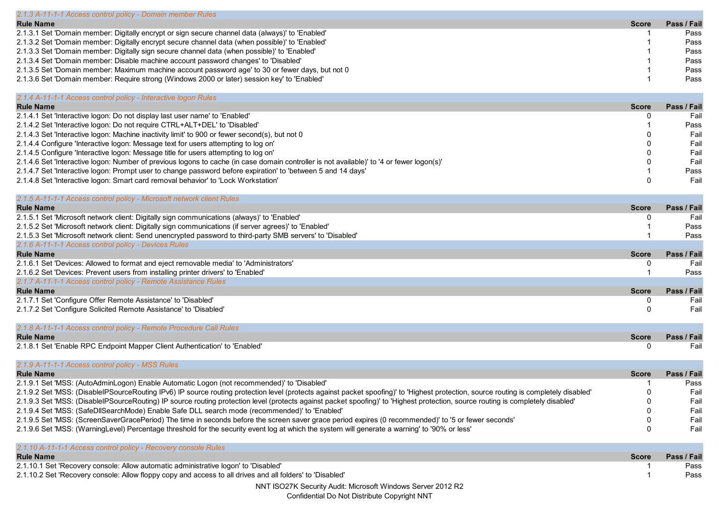| 2.1.3 A-11-1-1 Access control policy - Domain member Rules                                       |              |             |
|--------------------------------------------------------------------------------------------------|--------------|-------------|
| <b>Rule Name</b>                                                                                 | <b>Score</b> | Pass / Fail |
| 2.1.3.1 Set 'Domain member: Digitally encrypt or sign secure channel data (always)' to 'Enabled' |              | Pass        |
| 2.1.3.2 Set 'Domain member: Digitally encrypt secure channel data (when possible)' to 'Enabled'  |              | Pass        |
| 2.1.3.3 Set 'Domain member: Digitally sign secure channel data (when possible)' to 'Enabled'     |              | Pass        |
| 2.1.3.4 Set 'Domain member: Disable machine account password changes' to 'Disabled'              |              | Pass        |
| 2.1.3.5 Set 'Domain member: Maximum machine account password age' to 30 or fewer days, but not 0 |              | Pass        |
| 2.1.3.6 Set 'Domain member: Require strong (Windows 2000 or later) session key' to 'Enabled'     |              | Pass        |
|                                                                                                  |              |             |

| 2.1.4 A-11-1-1 Access control policy - Interactive logon Rules                                                                            |             |
|-------------------------------------------------------------------------------------------------------------------------------------------|-------------|
| <b>Rule Name</b><br><b>Score</b>                                                                                                          | Pass / Fail |
| 2.1.4.1 Set 'Interactive logon: Do not display last user name' to 'Enabled'                                                               | Fail        |
| 2.1.4.2 Set 'Interactive logon: Do not require CTRL+ALT+DEL' to 'Disabled'                                                                | Pass        |
| 2.1.4.3 Set 'Interactive logon: Machine inactivity limit' to 900 or fewer second(s), but not 0                                            | Fail        |
| 2.1.4.4 Configure 'Interactive logon: Message text for users attempting to log on'                                                        | Fail        |
| 2.1.4.5 Configure 'Interactive logon: Message title for users attempting to log on'                                                       | Fail        |
| 2.1.4.6 Set 'Interactive logon: Number of previous logons to cache (in case domain controller is not available)' to '4 or fewer logon(s)' | Fail        |
| 2.1.4.7 Set 'Interactive logon: Prompt user to change password before expiration' to 'between 5 and 14 days'                              | Pass        |
| 2.1.4.8 Set 'Interactive logon: Smart card removal behavior' to 'Lock Workstation'                                                        | Fail        |

| 2.1.5 A-11-1-1 Access control policy - Microsoft network client Rules                                      |              |             |
|------------------------------------------------------------------------------------------------------------|--------------|-------------|
| <b>Rule Name</b>                                                                                           | <b>Score</b> | Pass / Fail |
| 2.1.5.1 Set 'Microsoft network client: Digitally sign communications (always)' to 'Enabled'                |              | Fail        |
| 2.1.5.2 Set 'Microsoft network client: Digitally sign communications (if server agrees)' to 'Enabled'      |              | Pass        |
| 2.1.5.3 Set 'Microsoft network client: Send unencrypted password to third-party SMB servers' to 'Disabled' |              | Pass        |
| 2.1.6 A-11-1-1 Access control policy - Devices Rules                                                       |              |             |
| - - -                                                                                                      |              |             |

| <b>Rule Name</b>                                                                       | <b>Score</b> | Pass / Fail |
|----------------------------------------------------------------------------------------|--------------|-------------|
| 2.1.6.1 Set 'Devices: Allowed to format and eject removable media' to 'Administrators' |              | Fail        |
| 2.1.6.2 Set 'Devices: Prevent users from installing printer drivers' to 'Enabled'      |              | <b>Pass</b> |
| 2.1.7 A-11-1-1 Access control policy - Remote Assistance Rules                         |              |             |
| <b>Rule Name</b>                                                                       | <b>Score</b> | Pass / Fail |
| 2.1.7.1 Set 'Configure Offer Remote Assistance' to 'Disabled'                          |              | Fail        |
| 2.1.7.2 Set 'Configure Solicited Remote Assistance' to 'Disabled'                      |              | Fail        |

2.1.7.2 Set 'Configure Solicited Remote Assistance' to 'Disabled'

| 2.1.8 A-11-1-1 Access control policy - Remote Procedure Call Rules          |              |             |
|-----------------------------------------------------------------------------|--------------|-------------|
| <b>Rule Name</b>                                                            | <b>Score</b> | Pass / Fail |
| 2.1.8.1 Set 'Enable RPC Endpoint Mapper Client Authentication' to 'Enabled' |              |             |

| 2.1.9 A-11-1-1 Access control policy - MSS Rules                                                                                                                                      |              |             |
|---------------------------------------------------------------------------------------------------------------------------------------------------------------------------------------|--------------|-------------|
| <b>Rule Name</b>                                                                                                                                                                      | <b>Score</b> | Pass / Fail |
| 2.1.9.1 Set 'MSS: (AutoAdminLogon) Enable Automatic Logon (not recommended)' to 'Disabled'                                                                                            |              | Pass        |
| 2.1.9.2 Set 'MSS: (DisableIPSourceRouting IPv6) IP source routing protection level (protects against packet spoofing)' to 'Highest protection, source routing is completely disabled' |              | Fail        |
| 2.1.9.3 Set 'MSS: (DisableIPSourceRouting) IP source routing protection level (protects against packet spoofing)' to 'Highest protection, source routing is completely disabled'      |              | Fail        |
| 2.1.9.4 Set 'MSS: (SafeDllSearchMode) Enable Safe DLL search mode (recommended)' to 'Enabled'                                                                                         |              | Fail        |
| 2.1.9.5 Set 'MSS: (ScreenSaverGracePeriod) The time in seconds before the screen saver grace period expires (0 recommended)' to '5 or fewer seconds'                                  |              | Fail        |
| 2.1.9.6 Set 'MSS: (WarningLevel) Percentage threshold for the security event log at which the system will generate a warning' to '90% or less'                                        |              | Fail        |

| 2.1.10 A-11-1-1 Access control policy - Recovery console Rules                                            |              |             |
|-----------------------------------------------------------------------------------------------------------|--------------|-------------|
| <b>Rule Name</b>                                                                                          | <b>Score</b> | Pass / Fail |
| 2.1.10.1 Set 'Recovery console: Allow automatic administrative logon' to 'Disabled'                       |              | Pass        |
| 2.1.10.2 Set 'Recovery console: Allow floppy copy and access to all drives and all folders' to 'Disabled' |              | Pass        |
| NNT ISO27K Security Audit: Microsoft Windows Server 2012 R2                                               |              |             |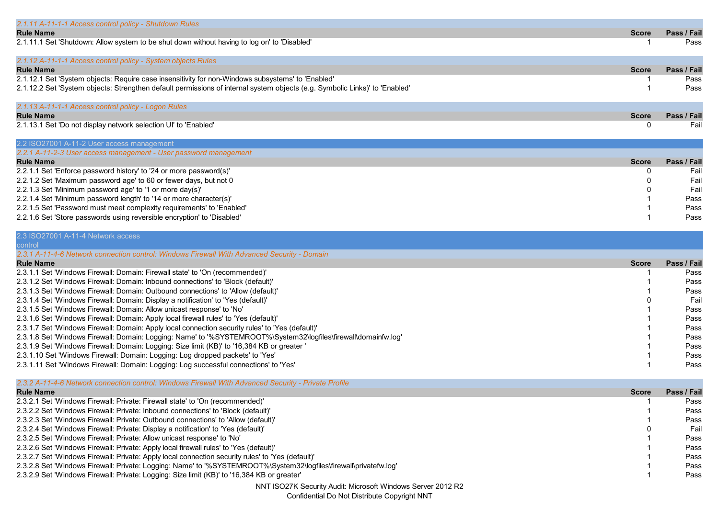| 2.1.11 A-11-1-1 Access control policy - Shutdown Rules                                                                                                                                                           |              |             |
|------------------------------------------------------------------------------------------------------------------------------------------------------------------------------------------------------------------|--------------|-------------|
| <b>Rule Name</b>                                                                                                                                                                                                 | <b>Score</b> | Pass / Fail |
| 2.1.11.1 Set 'Shutdown: Allow system to be shut down without having to log on' to 'Disabled'                                                                                                                     | -1           | Pass        |
|                                                                                                                                                                                                                  |              |             |
| 2.1.12 A-11-1-1 Access control policy - System objects Rules                                                                                                                                                     |              |             |
| <b>Rule Name</b>                                                                                                                                                                                                 | <b>Score</b> | Pass / Fail |
| 2.1.12.1 Set 'System objects: Require case insensitivity for non-Windows subsystems' to 'Enabled'                                                                                                                |              | Pass        |
| 2.1.12.2 Set 'System objects: Strengthen default permissions of internal system objects (e.g. Symbolic Links)' to 'Enabled'                                                                                      |              | Pass        |
|                                                                                                                                                                                                                  |              |             |
| 2.1.13 A-11-1-1 Access control policy - Logon Rules                                                                                                                                                              |              |             |
| <b>Rule Name</b>                                                                                                                                                                                                 | <b>Score</b> | Pass / Fail |
| 2.1.13.1 Set 'Do not display network selection UI' to 'Enabled'                                                                                                                                                  | $\mathbf{0}$ | Fail        |
| 2.2 ISO27001 A-11-2 User access management                                                                                                                                                                       |              |             |
| 2.2.1 A-11-2-3 User access management - User password management                                                                                                                                                 |              |             |
| <b>Rule Name</b>                                                                                                                                                                                                 | <b>Score</b> | Pass / Fail |
| 2.2.1.1 Set 'Enforce password history' to '24 or more password(s)'                                                                                                                                               | 0            | Fail        |
| 2.2.1.2 Set 'Maximum password age' to 60 or fewer days, but not 0                                                                                                                                                |              | Fail        |
| 2.2.1.3 Set 'Minimum password age' to '1 or more day(s)'                                                                                                                                                         |              | Fail        |
| 2.2.1.4 Set 'Minimum password length' to '14 or more character(s)'                                                                                                                                               |              | Pass        |
| 2.2.1.5 Set 'Password must meet complexity requirements' to 'Enabled'                                                                                                                                            |              | Pass        |
| 2.2.1.6 Set 'Store passwords using reversible encryption' to 'Disabled'                                                                                                                                          |              | Pass        |
|                                                                                                                                                                                                                  |              |             |
| 2.3 ISO27001 A-11-4 Network access                                                                                                                                                                               |              |             |
| control                                                                                                                                                                                                          |              |             |
| 2.3.1 A-11-4-6 Network connection control: Windows Firewall With Advanced Security - Domain                                                                                                                      |              |             |
| <b>Rule Name</b>                                                                                                                                                                                                 | <b>Score</b> | Pass / Fail |
| 2.3.1.1 Set 'Windows Firewall: Domain: Firewall state' to 'On (recommended)'                                                                                                                                     |              | Pass        |
| 2.3.1.2 Set 'Windows Firewall: Domain: Inbound connections' to 'Block (default)'                                                                                                                                 |              | Pass        |
| 2.3.1.3 Set 'Windows Firewall: Domain: Outbound connections' to 'Allow (default)'                                                                                                                                |              | Pass        |
| 2.3.1.4 Set 'Windows Firewall: Domain: Display a notification' to 'Yes (default)'                                                                                                                                |              | Fail        |
| 2.3.1.5 Set 'Windows Firewall: Domain: Allow unicast response' to 'No'                                                                                                                                           |              | Pass        |
| 2.3.1.6 Set 'Windows Firewall: Domain: Apply local firewall rules' to 'Yes (default)'                                                                                                                            |              | Pass        |
| 2.3.1.7 Set 'Windows Firewall: Domain: Apply local connection security rules' to 'Yes (default)'                                                                                                                 |              | Pass        |
| 2.3.1.8 Set 'Windows Firewall: Domain: Logging: Name' to '%SYSTEMROOT%\System32\logfiles\firewall\domainfw.log'                                                                                                  |              | Pass        |
| 2.3.1.9 Set 'Windows Firewall: Domain: Logging: Size limit (KB)' to '16,384 KB or greater '                                                                                                                      |              | Pass        |
| 2.3.1.10 Set 'Windows Firewall: Domain: Logging: Log dropped packets' to 'Yes'                                                                                                                                   |              | Pass        |
| 2.3.1.11 Set 'Windows Firewall: Domain: Logging: Log successful connections' to 'Yes'                                                                                                                            |              | Pass        |
| 2.3.2 A-11-4-6 Network connection control: Windows Firewall With Advanced Security - Private Profile                                                                                                             |              |             |
| <b>Rule Name</b>                                                                                                                                                                                                 | <b>Score</b> | Pass / Fail |
| 2.3.2.1 Set 'Windows Firewall: Private: Firewall state' to 'On (recommended)'                                                                                                                                    |              | Pass        |
| 2.3.2.2 Set 'Windows Firewall: Private: Inbound connections' to 'Block (default)'                                                                                                                                |              | Pass        |
| 2.3.2.3 Set 'Windows Firewall: Private: Outbound connections' to 'Allow (default)'                                                                                                                               |              | Pass        |
| 2.3.2.4 Set 'Windows Firewall: Private: Display a notification' to 'Yes (default)'                                                                                                                               |              | Fail        |
| 2.3.2.5 Set 'Windows Firewall: Private: Allow unicast response' to 'No'                                                                                                                                          |              | Pass        |
| 2.3.2.6 Set 'Windows Firewall: Private: Apply local firewall rules' to 'Yes (default)'                                                                                                                           |              | Pass        |
| 2.3.2.7 Set 'Windows Firewall: Private: Apply local connection security rules' to 'Yes (default)'                                                                                                                |              |             |
|                                                                                                                                                                                                                  |              | Pass        |
| 2.3.2.8 Set 'Windows Firewall: Private: Logging: Name' to '%SYSTEMROOT%\System32\logfiles\firewall\privatefw.log'<br>2.3.2.9 Set 'Windows Firewall: Private: Logging: Size limit (KB)' to '16,384 KB or greater' |              | Pass        |

NNT ISO27K Security Audit: Microsoft Windows Server 2012 R2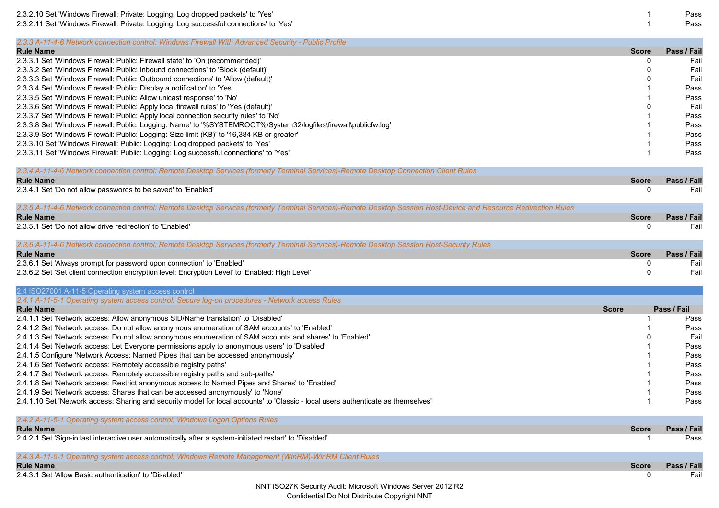| 2.3.2.10 Set 'Windows Firewall: Private: Logging: Log dropped packets' to 'Yes'                                                                                   |              | Pass        |
|-------------------------------------------------------------------------------------------------------------------------------------------------------------------|--------------|-------------|
| 2.3.2.11 Set 'Windows Firewall: Private: Logging: Log successful connections' to 'Yes'                                                                            |              | Pass        |
| 2.3.3 A-11-4-6 Network connection control: Windows Firewall With Advanced Security - Public Profile                                                               |              |             |
| <b>Rule Name</b>                                                                                                                                                  | <b>Score</b> | Pass / Fail |
| 2.3.3.1 Set 'Windows Firewall: Public: Firewall state' to 'On (recommended)'                                                                                      | 0            | Fail        |
| 2.3.3.2 Set 'Windows Firewall: Public: Inbound connections' to 'Block (default)'                                                                                  | ŋ            | Fail        |
| 2.3.3.3 Set 'Windows Firewall: Public: Outbound connections' to 'Allow (default)'                                                                                 |              | Fail        |
| 2.3.3.4 Set 'Windows Firewall: Public: Display a notification' to 'Yes'                                                                                           |              | Pass        |
| 2.3.3.5 Set 'Windows Firewall: Public: Allow unicast response' to 'No'                                                                                            |              | Pass        |
| 2.3.3.6 Set 'Windows Firewall: Public: Apply local firewall rules' to 'Yes (default)'                                                                             |              | Fail        |
| 2.3.3.7 Set 'Windows Firewall: Public: Apply local connection security rules' to 'No'                                                                             |              | Pass        |
| 2.3.3.8 Set 'Windows Firewall: Public: Logging: Name' to '%SYSTEMROOT%\System32\logfiles\firewall\publicfw.log'                                                   |              | Pass        |
| 2.3.3.9 Set 'Windows Firewall: Public: Logging: Size limit (KB)' to '16,384 KB or greater'                                                                        |              | Pass        |
| 2.3.3.10 Set 'Windows Firewall: Public: Logging: Log dropped packets' to 'Yes'                                                                                    |              | Pass        |
| 2.3.3.11 Set 'Windows Firewall: Public: Logging: Log successful connections' to 'Yes'                                                                             |              | Pass        |
|                                                                                                                                                                   |              |             |
| 2.3.4 A-11-4-6 Network connection control: Remote Desktop Services (formerly Terminal Services)-Remote Desktop Connection Client Rules<br><b>Rule Name</b>        | <b>Score</b> | Pass / Fail |
|                                                                                                                                                                   | 0            |             |
| 2.3.4.1 Set 'Do not allow passwords to be saved' to 'Enabled'                                                                                                     |              | Fail        |
| 2.3.5 A-11-4-6 Network connection control: Remote Desktop Services (formerly Terminal Services)-Remote Desktop Session Host-Device and Resource Redirection Rules |              |             |
| <b>Rule Name</b>                                                                                                                                                  | <b>Score</b> | Pass / Fail |
| 2.3.5.1 Set 'Do not allow drive redirection' to 'Enabled'                                                                                                         | 0            | Fail        |
| 2.3.6 A-11-4-6 Network connection control: Remote Desktop Services (formerly Terminal Services)-Remote Desktop Session Host-Security Rules                        |              |             |
| <b>Rule Name</b>                                                                                                                                                  | <b>Score</b> | Pass / Fail |
| 2.3.6.1 Set 'Always prompt for password upon connection' to 'Enabled'                                                                                             | 0            | Fail        |
| 2.3.6.2 Set 'Set client connection encryption level: Encryption Level' to 'Enabled: High Level'                                                                   | 0            | Fail        |
| 2.4 ISO27001 A-11-5 Operating system access control                                                                                                               |              |             |
| 2.4.1 A-11-5-1 Operating system access control: Secure log-on procedures - Network access Rules                                                                   |              |             |
| <b>Rule Name</b>                                                                                                                                                  | <b>Score</b> | Pass / Fail |
| 2.4.1.1 Set 'Network access: Allow anonymous SID/Name translation' to 'Disabled'                                                                                  |              | Pass        |
| 2.4.1.2 Set 'Network access: Do not allow anonymous enumeration of SAM accounts' to 'Enabled'                                                                     |              | Pass        |
| 2.4.1.3 Set 'Network access: Do not allow anonymous enumeration of SAM accounts and shares' to 'Enabled'                                                          |              | Fail        |
| 2.4.1.4 Set 'Network access: Let Everyone permissions apply to anonymous users' to 'Disabled'                                                                     |              | Pass        |
| 2.4.1.5 Configure 'Network Access: Named Pipes that can be accessed anonymously'                                                                                  |              | Pass        |
| 2.4.1.6 Set 'Network access: Remotely accessible registry paths'                                                                                                  |              | Pass        |
| 2.4.1.7 Set 'Network access: Remotely accessible registry paths and sub-paths'                                                                                    |              | Pass        |
| 2.4.1.8 Set 'Network access: Restrict anonymous access to Named Pipes and Shares' to 'Enabled'                                                                    |              | Pass        |
| 2.4.1.9 Set 'Network access: Shares that can be accessed anonymously' to 'None'                                                                                   |              | Pass        |
| 2.4.1.10 Set 'Network access: Sharing and security model for local accounts' to 'Classic - local users authenticate as themselves'                                |              | Pass        |
| 2.4.2 A-11-5-1 Operating system access control: Windows Logon Options Rules                                                                                       |              |             |
| <b>Rule Name</b>                                                                                                                                                  | <b>Score</b> | Pass / Fail |
| 2.4.2.1 Set 'Sign-in last interactive user automatically after a system-initiated restart' to 'Disabled'                                                          |              | Pass        |
| 2.4.3 A-11-5-1 Operating system access control: Windows Remote Management (WinRM)-WinRM Client Rules                                                              |              |             |
| <b>Rule Name</b>                                                                                                                                                  | <b>Score</b> | Pass / Fail |
| 2.4.3.1 Set 'Allow Basic authentication' to 'Disabled'                                                                                                            | 0            | Fail        |
| NNT ISO27K Security Audit: Microsoft Windows Server 2012 R2                                                                                                       |              |             |
|                                                                                                                                                                   |              |             |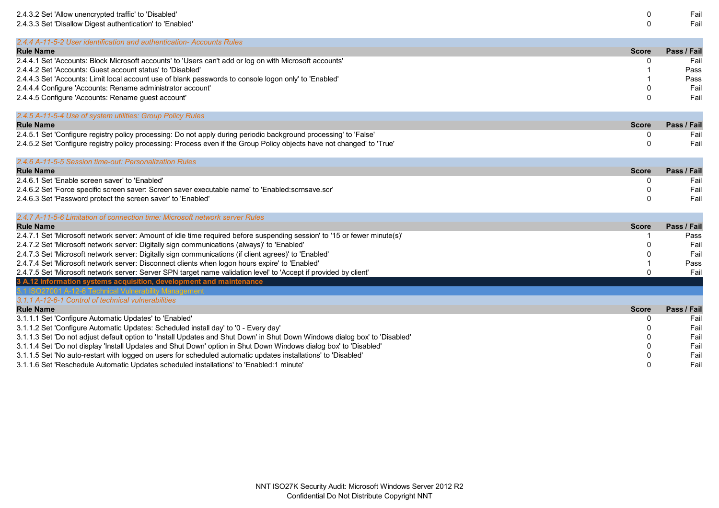| 2.4.3.2 Set 'Allow unencrypted traffic' to 'Disabled'                                                                                                                                    | 0            | Fail        |
|------------------------------------------------------------------------------------------------------------------------------------------------------------------------------------------|--------------|-------------|
| 2.4.3.3 Set 'Disallow Digest authentication' to 'Enabled'                                                                                                                                | $\Omega$     | Fail        |
| 2.4.4 A-11-5-2 User identification and authentication- Accounts Rules                                                                                                                    |              |             |
| <b>Rule Name</b>                                                                                                                                                                         | <b>Score</b> | Pass / Fail |
| 2.4.4.1 Set 'Accounts: Block Microsoft accounts' to 'Users can't add or log on with Microsoft accounts'                                                                                  | 0            | Fail        |
| 2.4.4.2 Set 'Accounts: Guest account status' to 'Disabled'                                                                                                                               |              | Pass        |
| 2.4.4.3 Set 'Accounts: Limit local account use of blank passwords to console logon only' to 'Enabled'                                                                                    |              | Pass        |
| 2.4.4.4 Configure 'Accounts: Rename administrator account'                                                                                                                               | 0            | Fail        |
| 2.4.4.5 Configure 'Accounts: Rename guest account'                                                                                                                                       | $\Omega$     | Fail        |
| 2.4.5 A-11-5-4 Use of system utilities: Group Policy Rules                                                                                                                               |              |             |
| <b>Rule Name</b>                                                                                                                                                                         | <b>Score</b> | Pass / Fail |
| 2.4.5.1 Set 'Configure registry policy processing: Do not apply during periodic background processing' to 'False'                                                                        | 0            | Fail        |
| 2.4.5.2 Set 'Configure registry policy processing: Process even if the Group Policy objects have not changed' to 'True'                                                                  | $\mathbf{0}$ | Fail        |
| 2.4.6 A-11-5-5 Session time-out: Personalization Rules                                                                                                                                   |              |             |
| <b>Rule Name</b>                                                                                                                                                                         | <b>Score</b> | Pass / Fail |
| 2.4.6.1 Set 'Enable screen saver' to 'Enabled'                                                                                                                                           | 0            | Fail        |
| 2.4.6.2 Set 'Force specific screen saver: Screen saver executable name' to 'Enabled:scrnsave.scr'                                                                                        | 0            | Fail        |
| 2.4.6.3 Set 'Password protect the screen saver' to 'Enabled'                                                                                                                             | $\Omega$     | Fail        |
| 2.4.7 A-11-5-6 Limitation of connection time: Microsoft network server Rules                                                                                                             |              |             |
| <b>Rule Name</b>                                                                                                                                                                         | <b>Score</b> | Pass / Fail |
| 2.4.7.1 Set 'Microsoft network server: Amount of idle time required before suspending session' to '15 or fewer minute(s)'                                                                |              | Pass        |
| 2.4.7.2 Set 'Microsoft network server: Digitally sign communications (always)' to 'Enabled'                                                                                              | O            | Fail        |
| 2.4.7.3 Set 'Microsoft network server: Digitally sign communications (if client agrees)' to 'Enabled'                                                                                    | 0            | Fail        |
| 2.4.7.4 Set 'Microsoft network server: Disconnect clients when logon hours expire' to 'Enabled'                                                                                          |              | Pass        |
| 2.4.7.5 Set 'Microsoft network server: Server SPN target name validation level' to 'Accept if provided by client'<br>3 A.12 Information systems acquisition, development and maintenance | $\Omega$     | Fail        |
| 1 ISO27001 A-12-6 Technical V                                                                                                                                                            |              |             |
| 3.1.1 A-12-6-1 Control of technical vulnerabilities                                                                                                                                      |              |             |
| <b>Rule Name</b>                                                                                                                                                                         | <b>Score</b> | Pass / Fail |
| 3.1.1.1 Set 'Configure Automatic Updates' to 'Enabled'                                                                                                                                   | 0            | Fail        |
| 3.1.1.2 Set 'Configure Automatic Updates: Scheduled install day' to '0 - Every day'                                                                                                      | O            | Fail        |
| 3.1.1.3 Set 'Do not adjust default option to 'Install Updates and Shut Down' in Shut Down Windows dialog box' to 'Disabled'                                                              | U            | Fail        |
| 3.1.1.4 Set 'Do not display 'Install Updates and Shut Down' option in Shut Down Windows dialog box' to 'Disabled'                                                                        |              | Fail        |
| 3.1.1.5 Set 'No auto-restart with logged on users for scheduled automatic updates installations' to 'Disabled'                                                                           |              | Fail        |
| 3.1.1.6 Set 'Reschedule Automatic Updates scheduled installations' to 'Enabled:1 minute'                                                                                                 | U            | Fail        |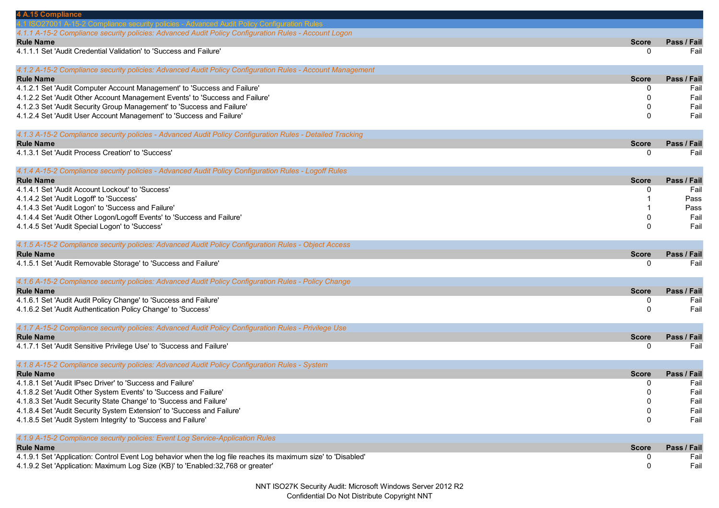| 4 A.15 Compliance                                                                                              |              |             |
|----------------------------------------------------------------------------------------------------------------|--------------|-------------|
| ance security policies - Advanced Audit Policy Configuration Rules                                             |              |             |
| 4.1.1 A-15-2 Compliance security policies: Advanced Audit Policy Configuration Rules - Account Logon           |              |             |
| <b>Rule Name</b>                                                                                               | <b>Score</b> | Pass / Fail |
| 4.1.1.1 Set 'Audit Credential Validation' to 'Success and Failure'                                             | 0            | Fail        |
| 4.1.2 A-15-2 Compliance security policies: Advanced Audit Policy Configuration Rules - Account Management      |              |             |
| <b>Rule Name</b>                                                                                               | <b>Score</b> | Pass / Fail |
| 4.1.2.1 Set 'Audit Computer Account Management' to 'Success and Failure'                                       | 0            | Fail        |
| 4.1.2.2 Set 'Audit Other Account Management Events' to 'Success and Failure'                                   | 0            | Fail        |
| 4.1.2.3 Set 'Audit Security Group Management' to 'Success and Failure'                                         | 0            | Fail        |
| 4.1.2.4 Set 'Audit User Account Management' to 'Success and Failure'                                           | 0            | Fail        |
| 4.1.3 A-15-2 Compliance security policies - Advanced Audit Policy Configuration Rules - Detailed Tracking      |              |             |
| <b>Rule Name</b>                                                                                               | <b>Score</b> | Pass / Fail |
| 4.1.3.1 Set 'Audit Process Creation' to 'Success'                                                              | 0            | Fail        |
| 4.1.4 A-15-2 Compliance security policies - Advanced Audit Policy Configuration Rules - Logoff Rules           |              |             |
| <b>Rule Name</b>                                                                                               | <b>Score</b> | Pass / Fail |
| 4.1.4.1 Set 'Audit Account Lockout' to 'Success'                                                               | 0            | Fail        |
| 4.1.4.2 Set 'Audit Logoff' to 'Success'                                                                        |              | Pass        |
| 4.1.4.3 Set 'Audit Logon' to 'Success and Failure'                                                             |              | Pass        |
| 4.1.4.4 Set 'Audit Other Logon/Logoff Events' to 'Success and Failure'                                         |              | Fail        |
| 4.1.4.5 Set 'Audit Special Logon' to 'Success'                                                                 | <sup>0</sup> | Fail        |
| 4.1.5 A-15-2 Compliance security policies: Advanced Audit Policy Configuration Rules - Object Access           |              |             |
| <b>Rule Name</b>                                                                                               | <b>Score</b> | Pass / Fail |
| 4.1.5.1 Set 'Audit Removable Storage' to 'Success and Failure'                                                 | 0            | Fail        |
|                                                                                                                |              |             |
| 4.1.6 A-15-2 Compliance security policies: Advanced Audit Policy Configuration Rules - Policy Change           |              |             |
| <b>Rule Name</b>                                                                                               | <b>Score</b> | Pass / Fail |
| 4.1.6.1 Set 'Audit Audit Policy Change' to 'Success and Failure'                                               | 0            | Fail        |
| 4.1.6.2 Set 'Audit Authentication Policy Change' to 'Success'                                                  | 0            | Fail        |
| 4.1.7 A-15-2 Compliance security policies: Advanced Audit Policy Configuration Rules - Privilege Use           |              |             |
| <b>Rule Name</b>                                                                                               | <b>Score</b> | Pass / Fail |
| 4.1.7.1 Set 'Audit Sensitive Privilege Use' to 'Success and Failure'                                           | 0            | Fail        |
| 4.1.8 A-15-2 Compliance security policies: Advanced Audit Policy Configuration Rules - System                  |              |             |
| <b>Rule Name</b>                                                                                               | <b>Score</b> | Pass / Fail |
| 4.1.8.1 Set 'Audit IPsec Driver' to 'Success and Failure'                                                      | 0            | Fail        |
| 4.1.8.2 Set 'Audit Other System Events' to 'Success and Failure'                                               | U            | Fail        |
| 4.1.8.3 Set 'Audit Security State Change' to 'Success and Failure'                                             | 0            | Fail        |
| 4.1.8.4 Set 'Audit Security System Extension' to 'Success and Failure'                                         | 0            | Fail        |
| 4.1.8.5 Set 'Audit System Integrity' to 'Success and Failure'                                                  | 0            | Fail        |
| 4.1.9 A-15-2 Compliance security policies: Event Log Service-Application Rules                                 |              |             |
| <b>Rule Name</b>                                                                                               | <b>Score</b> | Pass / Fail |
| 4.1.9.1 Set 'Application: Control Event Log behavior when the log file reaches its maximum size' to 'Disabled' | 0            | Fail        |
| 4.1.9.2 Set 'Application: Maximum Log Size (KB)' to 'Enabled:32,768 or greater'                                | 0            | Fail        |
|                                                                                                                |              |             |